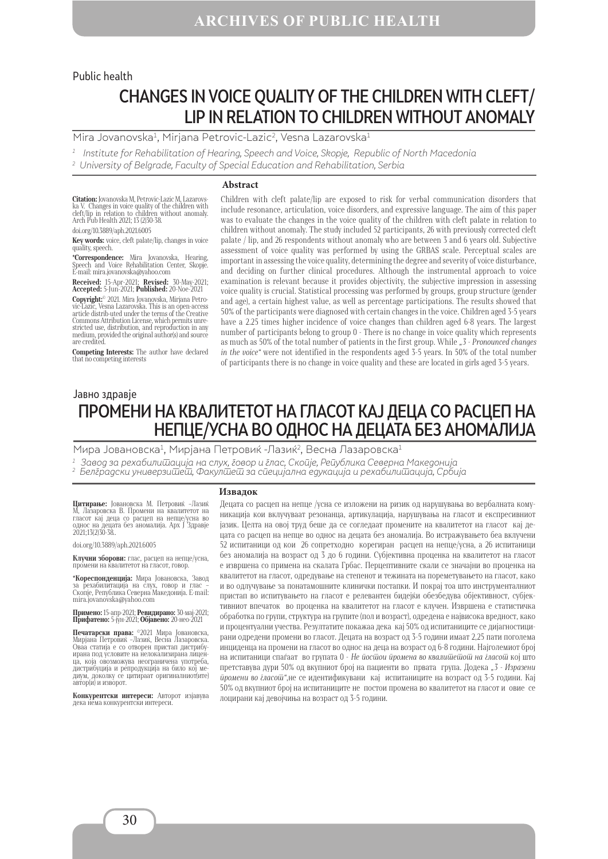#### Public health

# CHANGES IN VOICE QUALITY OF THE CHILDREN WITH CLEFT/ LIP IN RELATION TO CHILDREN WITHOUT ANOMALY

Mira Jovanovska<sup>1</sup>, Mirjana Petrovic-Lazic<sup>2</sup>, Vesna Lazarovska<sup>1</sup>

 $1$  Institute for Rehabilitation of Hearing, Speech and Voice, Skopje, Republic of North Macedonia

#### **Abstract**

**Citation:** Jovanovska M, Petrovic-Lazic M, Lazarovs-ka V. Changes in voice quality of the children with cleft/lip in relation to children without anomaly. Arch Pub Health 2021; 13 (2)30-38. doi.org/10.3889/aph.2021.6005

**Key words:** voice, cleft palate/lip, changes in voice quality, speech.

**\*Correspondence:** Mira Jovanovska, Hearing, Speech and Voice Rehabilitation Center, Skopje. Е-mail: mira.jovanovska@yahoo.com

**Received:** 15-Apr-2021; **Revised:** 30-May-2021; **Accepted:** 5-Jun-2021; **Published:** 20-Noe-2021

**Copyright:**© 2021. Mira Jovanovska, Mirjana Petro- vic-Lazic, Vesna Lazarovska. This is an open-access Article distrib-uted under the terms of the Creative Commons Attribution License, which permits unre-Commons Attribution License, which permits unre- stricted use, distribution, and reproduction in any medium, provided the original author(s) and source are credited.

**Competing Interests:** The author have declared that no competing interests

Children with cleft palate/lip are exposed to risk for verbal communication disorders that include resonance, articulation, voice disorders, and expressive language. The aim of this paper was to evaluate the changes in the voice quality of the children with cleft palate in relation to children without anomaly. The study included 52 participants, 26 with previously corrected cleft palate / lip, and 26 respondents without anomaly who are between 3 and 6 years old. Subjective assessment of voice quality was performed by using the GRBAS scale. Perceptual scales are important in assessing the voice quality, determining the degree and severity of voice disturbance, and deciding on further clinical procedures. Although the instrumental approach to voice examination is relevant because it provides objectivity, the subjective impression in assessing voice quality is crucial. Statistical processing was performed by groups, group structure (gender and age), a certain highest value, as well as percentage participations. The results showed that 50% of the participants were diagnosed with certain changes in the voice. Children aged 3-5 years have a 2.25 times higher incidence of voice changes than children aged 6-8 years. The largest number of participants belong to group 0 - There is no change in voice quality which represents as much as 50% of the total number of patients in the first group. While *"3 - Pronounced changes in the voice"* were not identified in the respondents aged 3-5 years. In 50% of the total number of participants there is no change in voice quality and these are located in girls aged 3-5 years.

# ПРОМЕНИ НА КВАЛИТЕТОТ НА ГЛАСОТ КАЈ ДЕЦА СО РАСЦЕП НА НЕПЦЕ/УСНА ВО ОДНОС НА ДЕЦАТА БЕЗ АНОМАЛИЈА Јавно здравје

Мира Јовановска<sup>1</sup>, Мирјана Петровиќ -Лазиќ<sup>2</sup>, Весна Лазаровска<sup>1</sup>

1 Завод за рехабилитација на слух, говор и глас, Скопје, Република Северна Македонија

2 Белградски универзи $\overline{\omega}$ е $\overline{\omega}$ , Факул $\overline{\omega}$ е $\overline{\omega}$  за с $\overline{\omega}$ ецијална едукација и рехабили $\overline{\omega}$ ација, Србија

#### **Извадок**

**Цитирање:** Јовановска М. Петровиќ –Лазиќ М, Лазаровска В. Промени на квалитетот на гласот кај деца со расцеп на непце/усна во однос на децата без аномалија. Арх Ј Здравје 2021;13(2)30-38..

doi.org/10.3889/aph.2021.6005

**Клучни зборови:** глас, расцеп на непце/усна, промени на квалитетот на гласот, говор.

**\*Кореспонденција:** Мира Јовановска, Завод<br>за рехабилитација на слух, говор и глас -<br>Скопје, Република Северна Македонија. E-mail: mira.jovanovska@yahoo.com

**Примено:** 15-апр-2021; **Ревидирано:** 30-мај-2021; **Прифатено:** 5-јун-2021; **Објавено:** 20-нео-2021

**Печатарски права:** ©2021 Мира Јовановска, Мирјана Петровиќ –Лазиќ, Весна Лазаровска. оваа статија с со отворен пристап дистрибутализирана лицен-<br>ирана под условите на нелокализирана лицен-<br>да, која овозможува неограничена употреба,<br>пистрибуција и репролукција на било кој медистрибуција и репродукција на било кој ме- диум, доколку се цитираат оригиналниот(ите) автор(и) и изворот.

**Конкурентски интереси:** Авторот изјавува дека нема конкурентски интереси.

Децата со расцеп на непце /усна се изложени на ризик од нарушувања во вербалната комуникација кои вклучуваат резонанца, артикулација, нарушувања на гласот и експресивниот јазик. Целта на овој труд беше да се согледаат промените на квалитетот на гласот кај децата со расцеп на непце во однос на децата без аномалија. Во истражувањето беа вклучени 52 испитаници од кои 26 сопретходно корегиран расцеп на непце/усна, а 26 испитаници без аномалија на возраст од 3 до 6 години. Субјективна проценка на квалитетот на гласот е извршена со примена на скалата Грбас. Перцептивните скали се значајни во проценка на квалитетот на гласот, одредување на степенот и тежината на пореметувањето на гласот, како и во одлучување за понатамошните клинички постапки. И покрај тоа што инструменталниот пристап во испитувањето на гласот е релевантен бидејќи обезбедува објективност, субјективниот впечаток во проценка на квалитетот на гласот е клучен. Извршена е статистичка обработка по групи, структура на групите (пол и возраст), одредена e највисока вредност, како и процентуални учества. Резултатите покажаа дека кај 50% од испитаниците се дијагностицирани одредени промени во гласот. Децата на возраст од 3-5 години имаат 2,25 пати поголема инциденца на промени на гласот во однос на деца на возраст од 6-8 години. Најголемиот број на испитаници спаѓаат во групата 0 - *Не постои промена во квалитетот на гласот* кој што претставува дури 50% од вкупниот број на пациенти во првата група. Додека *"3 - Изразени промени во гласот"*,не се идентификувани кај испитаниците на возраст од 3-5 години. Кај 50% од вкупниот број на испитаниците не постои промена во квалитетот на гласот и овие се лоцирани кај девојчиња на возраст од 3-5 години.

<sup>2</sup> University of Belgrade, Faculty of Special Education and Rehabilitation, Serbia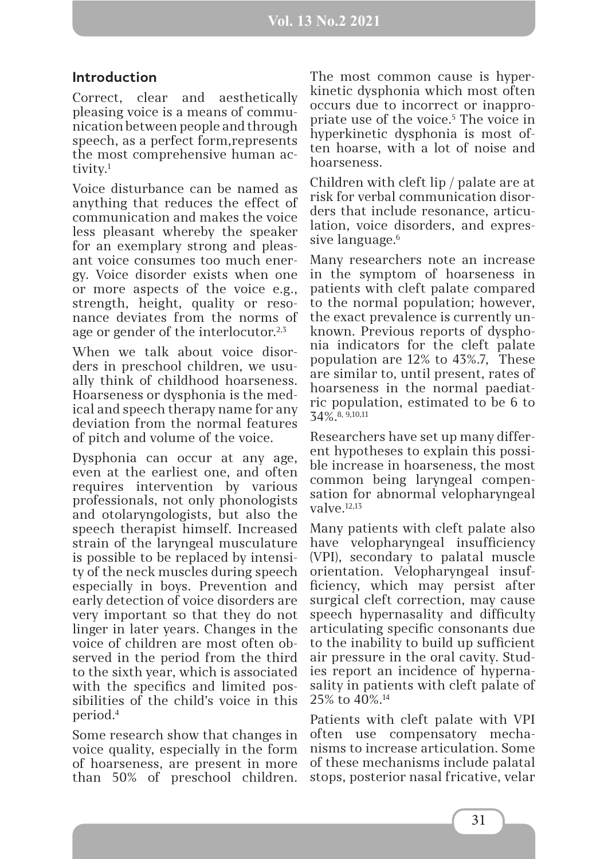# **Introduction**

Correct, clear and aesthetically pleasing voice is a means of communication between people and through speech, as a perfect form,represents the most comprehensive human activity.<sup>1</sup>

Voice disturbance can be named as anything that reduces the effect of communication and makes the voice less pleasant whereby the speaker for an exemplary strong and pleasant voice consumes too much energy. Voice disorder exists when one or more aspects of the voice e.g., strength, height, quality or resonance deviates from the norms of age or gender of the interlocutor.<sup>2,3</sup>

When we talk about voice disorders in preschool children, we usually think of childhood hoarseness. Hoarseness or dysphonia is the medical and speech therapy name for any deviation from the normal features of pitch and volume of the voice.

Dysphonia can occur at any age, even at the earliest one, and often requires intervention by various professionals, not only phonologists and otolaryngologists, but also the speech therapist himself. Increased strain of the laryngeal musculature is possible to be replaced by intensity of the neck muscles during speech especially in boys. Prevention and early detection of voice disorders are very important so that they do not linger in later years. Changes in the voice of children are most often observed in the period from the third to the sixth year, which is associated with the specifics and limited possibilities of the child's voice in this period.4

Some research show that changes in voice quality, especially in the form of hoarseness, are present in more than 50% of preschool children.

The most common cause is hyperkinetic dysphonia which most often occurs due to incorrect or inappropriate use of the voice.<sup>5</sup> The voice in hyperkinetic dysphonia is most often hoarse, with a lot of noise and hoarseness.

Children with cleft lip / palate are at risk for verbal communication disorders that include resonance, articulation, voice disorders, and expressive language.<sup>6</sup>

Many researchers note an increase in the symptom of hoarseness in patients with cleft palate compared to the normal population; however, the exact prevalence is currently unknown. Previous reports of dysphonia indicators for the cleft palate population are 12% to 43%.7, These are similar to, until present, rates of hoarseness in the normal paediatric population, estimated to be 6 to 34%.8, 9,10,11

Researchers have set up many different hypotheses to explain this possible increase in hoarseness, the most common being laryngeal compensation for abnormal velopharyngeal  $v$ alve $^{12,13}$ 

Many patients with cleft palate also have velopharyngeal insufficiency (VPI), secondary to palatal muscle orientation. Velopharyngeal insufficiency, which may persist after surgical cleft correction, may cause speech hypernasality and difficulty articulating specific consonants due to the inability to build up sufficient air pressure in the oral cavity. Studies report an incidence of hypernasality in patients with cleft palate of 25% to 40%.14

Patients with cleft palate with VPI often use compensatory mechanisms to increase articulation. Some of these mechanisms include palatal stops, posterior nasal fricative, velar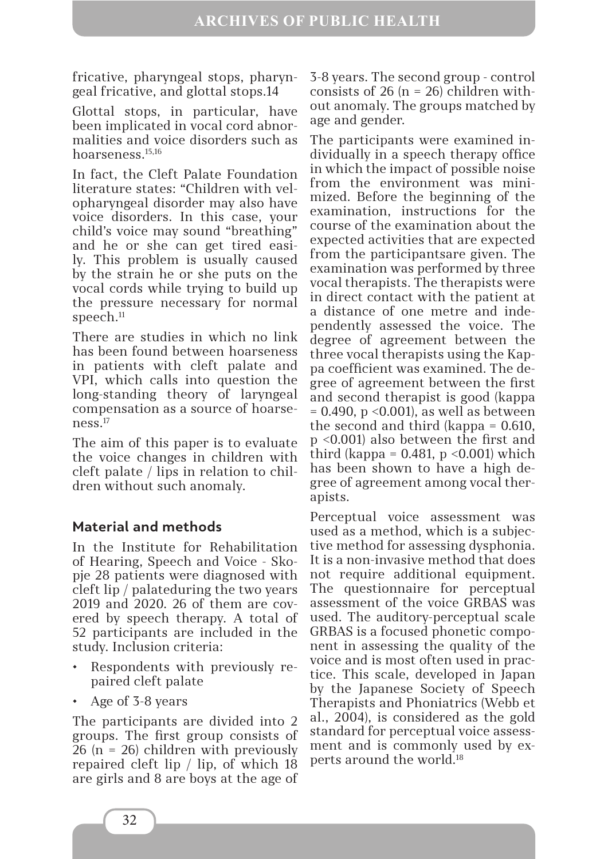fricative, pharyngeal stops, pharyngeal fricative, and glottal stops.14

Glottal stops, in particular, have been implicated in vocal cord abnormalities and voice disorders such as hoarseness.15,16

In fact, the Cleft Palate Foundation literature states: "Children with velopharyngeal disorder may also have voice disorders. In this case, your child's voice may sound "breathing" and he or she can get tired easily. This problem is usually caused by the strain he or she puts on the vocal cords while trying to build up the pressure necessary for normal speech.<sup>11</sup>

There are studies in which no link has been found between hoarseness in patients with cleft palate and VPI, which calls into question the long-standing theory of laryngeal compensation as a source of hoarseness.17

The aim of this paper is to evaluate the voice changes in children with cleft palate / lips in relation to children without such anomaly.

# **Material and methods**

In the Institute for Rehabilitation of Hearing, Speech and Voice - Skopje 28 patients were diagnosed with cleft lip / palateduring the two years 2019 and 2020. 26 of them are covered by speech therapy. A total of 52 participants are included in the study. Inclusion criteria:

- Respondents with previously repaired cleft palate
- Age of 3-8 years

The participants are divided into 2 groups. The first group consists of 26 (n = 26) children with previously repaired cleft lip / lip, of which 18 are girls and 8 are boys at the age of

3-8 years. The second group - control consists of 26 ( $n = 26$ ) children without anomaly. The groups matched by age and gender.

The participants were examined individually in a speech therapy office in which the impact of possible noise from the environment was minimized. Before the beginning of the examination, instructions for the course of the examination about the expected activities that are expected from the participantsare given. The examination was performed by three vocal therapists. The therapists were in direct contact with the patient at a distance of one metre and independently assessed the voice. The degree of agreement between the three vocal therapists using the Kappa coefficient was examined. The degree of agreement between the first and second therapist is good (kappa = 0.490, p <0.001), as well as between the second and third (kappa = 0.610, p <0.001) also between the first and third (kappa =  $0.481$ , p <  $0.001$ ) which has been shown to have a high degree of agreement among vocal therapists.

Perceptual voice assessment was used as a method, which is a subjective method for assessing dysphonia. It is a non-invasive method that does not require additional equipment. The questionnaire for perceptual assessment of the voice GRBAS was used. The auditory-perceptual scale GRBAS is a focused phonetic component in assessing the quality of the voice and is most often used in practice. This scale, developed in Japan by the Japanese Society of Speech Therapists and Phoniatrics (Webb et al., 2004), is considered as the gold standard for perceptual voice assessment and is commonly used by experts around the world.18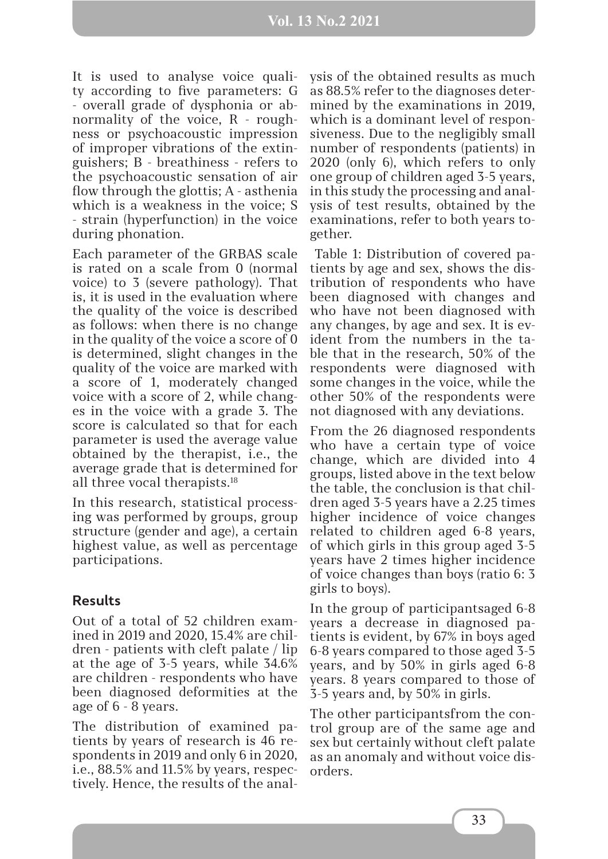#### **Vol. 13 No.2 2021**

It is used to analyse voice quality according to five parameters: G - overall grade of dysphonia or abnormality of the voice, R - roughness or psychoacoustic impression of improper vibrations of the extinguishers; B - breathiness - refers to the psychoacoustic sensation of air flow through the glottis; A - asthenia which is a weakness in the voice; S - strain (hyperfunction) in the voice during phonation.

Each parameter of the GRBAS scale is rated on a scale from 0 (normal voice) to 3 (severe pathology). That is, it is used in the evaluation where the quality of the voice is described as follows: when there is no change in the quality of the voice a score of 0 is determined, slight changes in the quality of the voice are marked with a score of 1, moderately changed voice with a score of 2, while changes in the voice with a grade 3. The score is calculated so that for each parameter is used the average value obtained by the therapist, i.e., the average grade that is determined for all three vocal therapists.18

In this research, statistical processing was performed by groups, group structure (gender and age), a certain highest value, as well as percentage participations.

### **Results**

Out of a total of 52 children examined in 2019 and 2020, 15.4% are children - patients with cleft palate / lip at the age of 3-5 years, while 34.6% are children - respondents who have been diagnosed deformities at the age of 6 - 8 years.

The distribution of examined patients by years of research is 46 respondents in 2019 and only 6 in 2020, i.e., 88.5% and 11.5% by years, respectively. Hence, the results of the analysis of the obtained results as much as 88.5% refer to the diagnoses determined by the examinations in 2019, which is a dominant level of responsiveness. Due to the negligibly small number of respondents (patients) in 2020 (only 6), which refers to only one group of children aged 3-5 years, in this study the processing and analysis of test results, obtained by the examinations, refer to both years together.

 Table 1: Distribution of covered patients by age and sex, shows the distribution of respondents who have been diagnosed with changes and who have not been diagnosed with any changes, by age and sex. It is evident from the numbers in the table that in the research, 50% of the respondents were diagnosed with some changes in the voice, while the other 50% of the respondents were not diagnosed with any deviations.

From the 26 diagnosed respondents who have a certain type of voice change, which are divided into 4 groups, listed above in the text below the table, the conclusion is that children aged 3-5 years have a 2.25 times higher incidence of voice changes related to children aged 6-8 years, of which girls in this group aged 3-5 years have 2 times higher incidence of voice changes than boys (ratio 6: 3 girls to boys).

In the group of participantsaged 6-8 years a decrease in diagnosed patients is evident, by 67% in boys aged 6-8 years compared to those aged 3-5 years, and by 50% in girls aged 6-8 years. 8 years compared to those of 3-5 years and, by 50% in girls.

The other participantsfrom the control group are of the same age and sex but certainly without cleft palate as an anomaly and without voice disorders.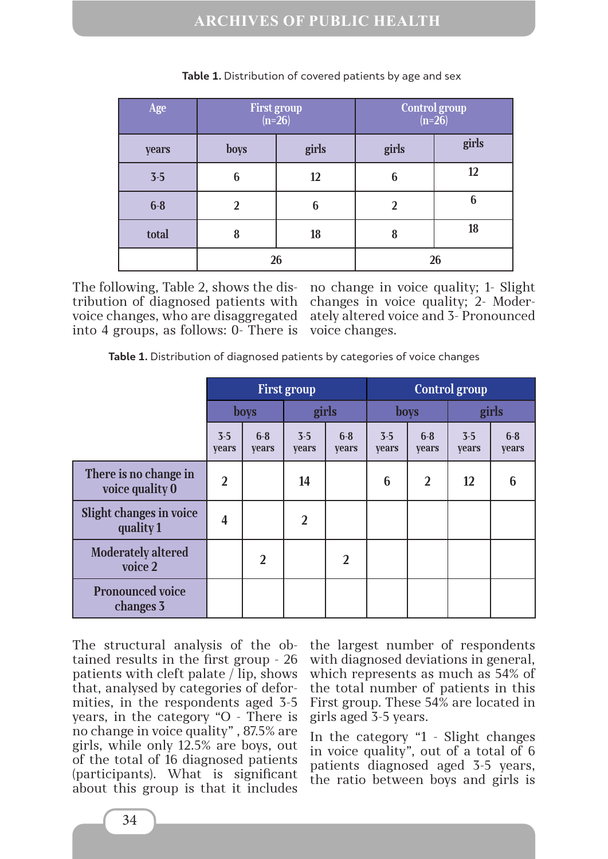| Age   | First group<br>$(n=26)$ |       | Control group<br>$(n=26)$ |       |  |
|-------|-------------------------|-------|---------------------------|-------|--|
| years | boys                    | girls | girls                     | girls |  |
| $3-5$ | 6                       | 12    | 6                         | 12    |  |
| $6-8$ | $\overline{2}$          | 6     | $\overline{2}$            | 6     |  |
| total | 8                       | 18    | 8                         | 18    |  |
|       | 26                      |       | 26                        |       |  |

**Table 1.** Distribution of covered patients by age and sex

The following, Table 2, shows the distribution of diagnosed patients with voice changes, who are disaggregated into 4 groups, as follows: 0- There is no change in voice quality; 1- Slight changes in voice quality; 2- Moderately altered voice and 3- Pronounced voice changes.

|                                             | <b>First group</b>      |                       |                         |                       | <b>Control group</b>    |                  |                         |                       |
|---------------------------------------------|-------------------------|-----------------------|-------------------------|-----------------------|-------------------------|------------------|-------------------------|-----------------------|
|                                             | <b>boys</b>             |                       | girls                   |                       | <b>boys</b>             |                  | girls                   |                       |
|                                             | $3 - 5$<br><b>vears</b> | $6-8$<br><b>vears</b> | $3 - 5$<br><b>vears</b> | $6-8$<br><b>vears</b> | $3 - 5$<br><b>vears</b> | $6 - 8$<br>years | $3 - 5$<br><b>vears</b> | $6-8$<br><b>vears</b> |
| There is no change in<br>voice quality 0    | $\overline{2}$          |                       | 14                      |                       | 6                       | $\overline{2}$   | 12                      | 6                     |
| <b>Slight changes in voice</b><br>quality 1 | 4                       |                       | $\overline{2}$          |                       |                         |                  |                         |                       |
| <b>Moderately altered</b><br>voice 2        |                         | $\overline{2}$        |                         | $\overline{2}$        |                         |                  |                         |                       |
| <b>Pronounced voice</b><br>changes 3        |                         |                       |                         |                       |                         |                  |                         |                       |

The structural analysis of the obtained results in the first group - 26 patients with cleft palate / lip, shows that, analysed by categories of deformities, in the respondents aged 3-5 years, in the category "O - There is no change in voice quality" , 87.5% are girls, while only 12.5% are boys, out of the total of 16 diagnosed patients (participants). What is significant about this group is that it includes

the largest number of respondents with diagnosed deviations in general, which represents as much as 54% of the total number of patients in this First group. These 54% are located in girls aged 3-5 years.

In the category "1 - Slight changes in voice quality", out of a total of 6 patients diagnosed aged 3-5 years, the ratio between boys and girls is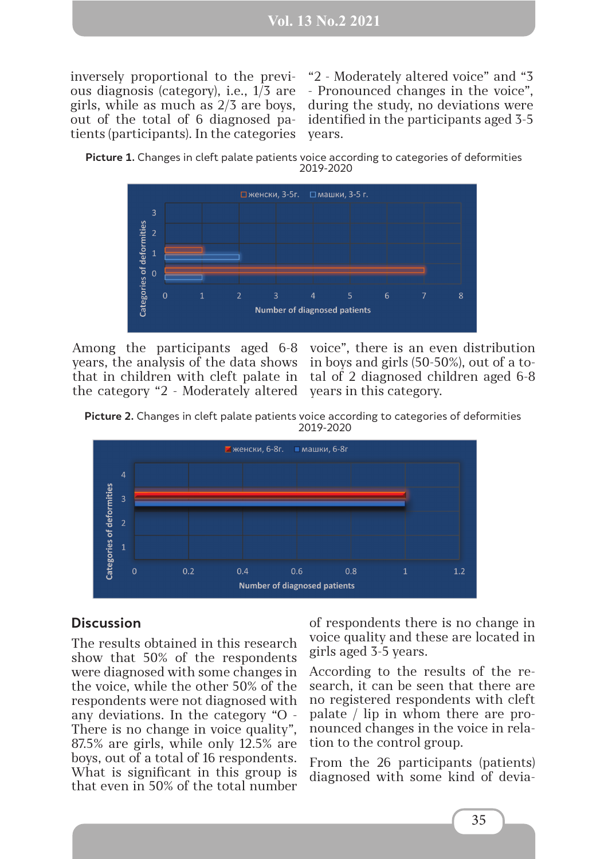inversely proportional to the previous diagnosis (category), i.e., 1/3 are girls, while as much as 2/3 are boys, out of the total of 6 diagnosed patients (participants). In the categories

"2 - Moderately altered voice" and "3 - Pronounced changes in the voice", during the study, no deviations were identified in the participants aged 3-5 years.

**Picture 1.** Changes in cleft palate patients voice according to categories of deformities 2019-2020



Among the participants aged 6-8 years, the analysis of the data shows that in children with cleft palate in the category "2 - Moderately altered

voice", there is an even distribution in boys and girls (50-50%), out of a total of 2 diagnosed children aged 6-8 years in this category.

**Picture 2.** Changes in cleft palate patients voice according to categories of deformities 2019-2020



#### **Discussion**

The results obtained in this research show that 50% of the respondents were diagnosed with some changes in the voice, while the other 50% of the respondents were not diagnosed with any deviations. In the category "O - There is no change in voice quality", 87.5% are girls, while only 12.5% are boys, out of a total of 16 respondents. What is significant in this group is that even in 50% of the total number

of respondents there is no change in voice quality and these are located in girls aged 3-5 years.

According to the results of the research, it can be seen that there are no registered respondents with cleft palate / lip in whom there are pronounced changes in the voice in relation to the control group.

From the 26 participants (patients) diagnosed with some kind of devia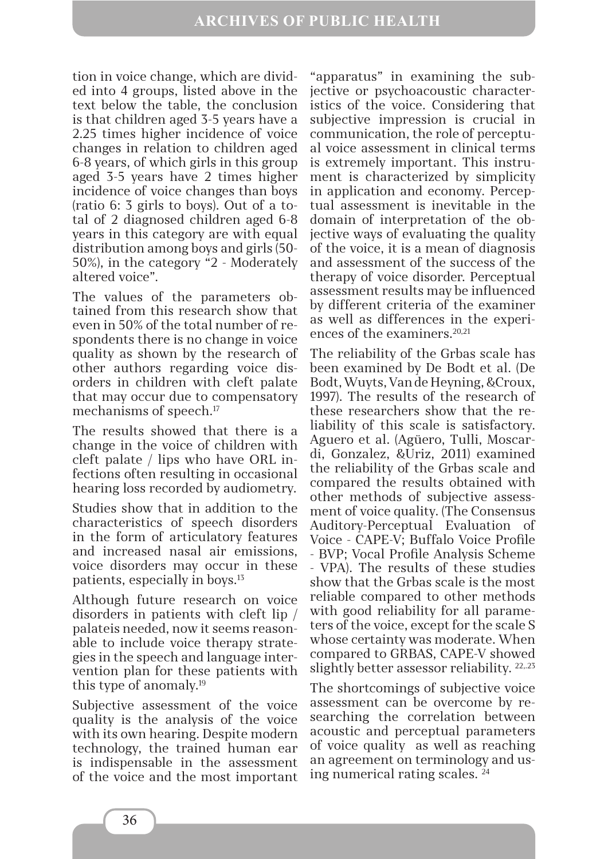tion in voice change, which are divided into 4 groups, listed above in the text below the table, the conclusion is that children aged 3-5 years have a 2.25 times higher incidence of voice changes in relation to children aged 6-8 years, of which girls in this group aged 3-5 years have 2 times higher incidence of voice changes than boys (ratio 6: 3 girls to boys). Out of a total of 2 diagnosed children aged 6-8 years in this category are with equal distribution among boys and girls (50- 50%), in the category "2 - Moderately altered voice".

The values of the parameters obtained from this research show that even in 50% of the total number of respondents there is no change in voice quality as shown by the research of other authors regarding voice disorders in children with cleft palate that may occur due to compensatory mechanisms of speech.17

The results showed that there is a change in the voice of children with cleft palate / lips who have ORL infections often resulting in occasional hearing loss recorded by audiometry.

Studies show that in addition to the characteristics of speech disorders in the form of articulatory features and increased nasal air emissions, voice disorders may occur in these patients, especially in boys.13

Although future research on voice disorders in patients with cleft lip / palateis needed, now it seems reasonable to include voice therapy strategies in the speech and language intervention plan for these patients with this type of anomaly.19

Subjective assessment of the voice quality is the analysis of the voice with its own hearing. Despite modern technology, the trained human ear is indispensable in the assessment of the voice and the most important

"apparatus" in examining the subjective or psychoacoustic characteristics of the voice. Considering that subjective impression is crucial in communication, the role of perceptual voice assessment in clinical terms is extremely important. This instrument is characterized by simplicity in application and economy. Perceptual assessment is inevitable in the domain of interpretation of the objective ways of evaluating the quality of the voice, it is a mean of diagnosis and assessment of the success of the therapy of voice disorder. Perceptual assessment results may be influenced by different criteria of the examiner as well as differences in the experiences of the examiners.<sup>20,21</sup>

The reliability of the Grbas scale has been examined by De Bodt et al. (De Bodt, Wuyts, Van de Heyning, &Croux, 1997). The results of the research of these researchers show that the reliability of this scale is satisfactory. Aguero et al. (Agüero, Tulli, Moscardi, Gonzalez, &Uriz, 2011) examined the reliability of the Grbas scale and compared the results obtained with other methods of subjective assessment of voice quality. (The Consensus Auditory-Perceptual Evaluation of Voice - CAPE-V; Buffalo Voice Profile - BVP; Vocal Profile Analysis Scheme - VPA). The results of these studies show that the Grbas scale is the most reliable compared to other methods with good reliability for all parameters of the voice, except for the scale S whose certainty was moderate. When compared to GRBAS, CAPE-V showed slightly better assessor reliability. <sup>22,23</sup>

The shortcomings of subjective voice assessment can be overcome by researching the correlation between acoustic and perceptual parameters of voice quality as well as reaching an agreement on terminology and using numerical rating scales. 24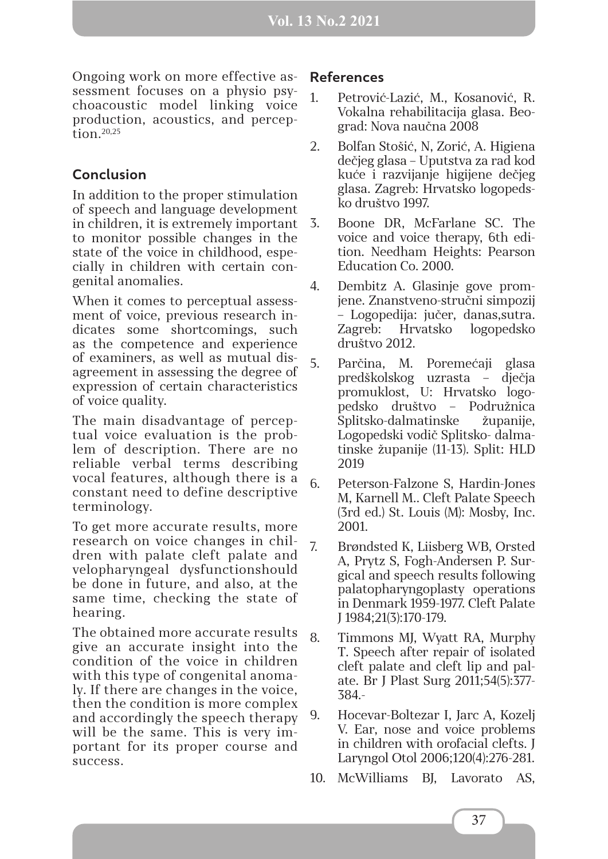Ongoing work on more effective assessment focuses on a physio psychoacoustic model linking voice production, acoustics, and perception.20,25

# **Conclusion**

In addition to the proper stimulation of speech and language development in children, it is extremely important to monitor possible changes in the state of the voice in childhood, especially in children with certain congenital anomalies.

When it comes to perceptual assessment of voice, previous research indicates some shortcomings, such as the competence and experience of examiners, as well as mutual disagreement in assessing the degree of expression of certain characteristics of voice quality.

The main disadvantage of perceptual voice evaluation is the problem of description. There are no reliable verbal terms describing vocal features, although there is a constant need to define descriptive terminology.

To get more accurate results, more research on voice changes in children with palate cleft palate and velopharyngeal dysfunctionshould be done in future, and also, at the same time, checking the state of hearing.

The obtained more accurate results give an accurate insight into the condition of the voice in children with this type of congenital anomaly. If there are changes in the voice, then the condition is more complex and accordingly the speech therapy will be the same. This is very important for its proper course and success.

### **References**

- 1. Petrović-Lazić, M., Kosanović, R. Vokalna rehabilitacija glasa. Beograd: Nova naučna 2008
- 2. Bolfan Stošić, N, Zorić, A. Higiena dečjeg glasa – Uputstva za rad kod kuće i razvijanje higijene dečjeg glasa. Zagreb: Hrvatsko logopedsko društvo 1997.
- 3. Boone DR, McFarlane SC. The voice and voice therapy, 6th edition. Needham Heights: Pearson Education Co. 2000.
	- 4. Dembitz A. Glasinje gove promjene. Znanstveno-stručni simpozij – Logopedija: jučer, danas,sutra. Zagreb: Hrvatsko logopedsko društvo 2012.
	- 5. Parčina, M. Poremećaji glasa predškolskog uzrasta – dječja promuklost, U: Hrvatsko logopedsko društvo – Podružnica Splitsko-dalmatinske županije, Logopedski vodič Splitsko- dalmatinske županije (11-13). Split: HLD 2019
	- 6. Peterson-Falzone S, Hardin-Jones M, Karnell M.. Cleft Palate Speech (3rd ed.) St. Louis (M): Mosby, Inc. 2001.
- 7. Brøndsted K, Liisberg WB, Orsted A, Prytz S, Fogh-Andersen P. Surgical and speech results following palatopharyngoplasty operations in Denmark 1959-1977. Cleft Palate J 1984;21(3):170-179.
- 8. Timmons MJ, Wyatt RA, Murphy T. Speech after repair of isolated cleft palate and cleft lip and palate. Br J Plast Surg 2011;54(5):377- 384.-
- 9. Hocevar-Boltezar I, Jarc A, Kozelj V. Ear, nose and voice problems in children with orofacial clefts. J Laryngol Otol 2006;120(4):276-281.
- 10. McWilliams BJ, Lavorato AS,